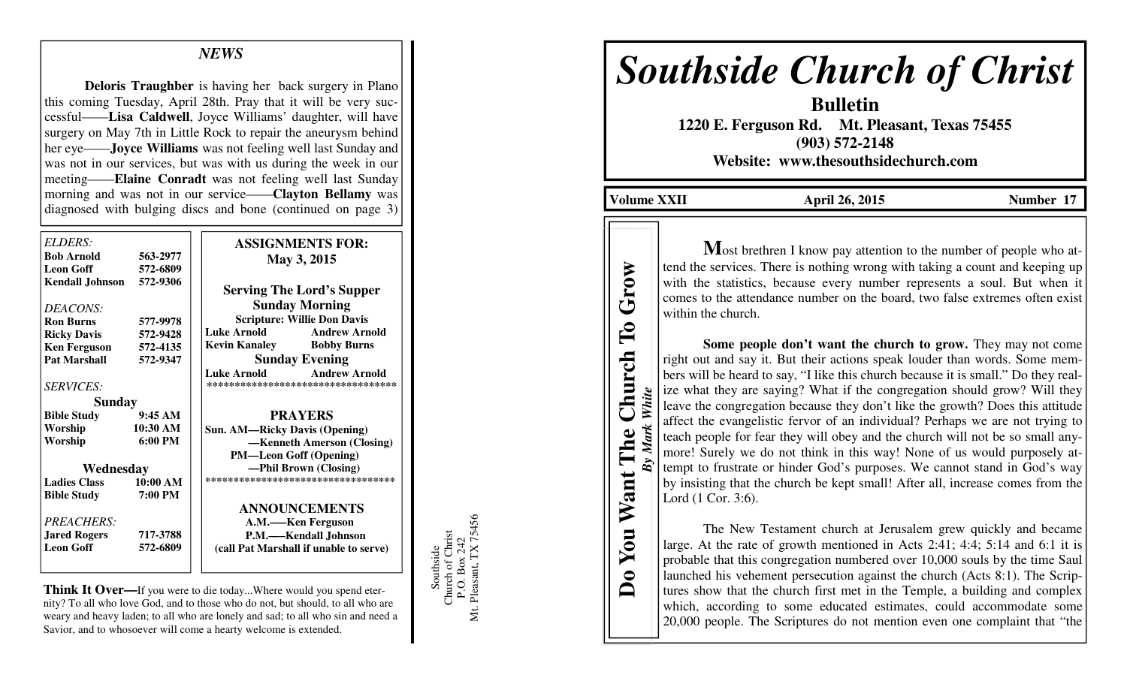## *NEWS*

**Deloris Traughber** is having her back surgery in Plano this coming Tuesday, April 28th. Pray that it will be very successful——**Lisa Caldwell**, Joyce Williams' daughter, will have surgery on May 7th in Little Rock to repair the aneurysm behind her eye——**Joyce Williams** was not feeling well last Sunday and was not in our services, but was with us during the week in our meeting——**Elaine Conradt** was not feeling well last Sunday morning and was not in our service——**Clayton Bellamy** was diagnosed with bulging discs and bone (continued on page 3)

| ELDERS:                  |                   | <b>ASSIGNMENTS FOR:</b>                                                         |
|--------------------------|-------------------|---------------------------------------------------------------------------------|
| <b>Bob Arnold</b>        | 563-2977          | May 3, 2015                                                                     |
| <b>Leon Goff</b>         | 572-6809          |                                                                                 |
| Kendall Johnson 572-9306 |                   | <b>Serving The Lord's Supper</b>                                                |
| DEACONS:                 |                   | <b>Sunday Morning</b>                                                           |
| <b>Ron Burns</b>         | 577-9978          | <b>Scripture: Willie Don Davis</b>                                              |
| <b>Ricky Davis</b>       | 572-9428          | <b>Luke Arnold</b><br><b>Andrew Arnold</b>                                      |
| <b>Ken Ferguson</b>      | 572-4135          | <b>Kevin Kanaley Bobby Burns</b>                                                |
| <b>Pat Marshall</b>      | 572-9347          | <b>Sunday Evening</b>                                                           |
| <b>SERVICES:</b>         |                   | <b>Andrew Arnold</b><br><b>Luke Arnold</b><br>********************************* |
| <b>Sunday</b>            |                   |                                                                                 |
| <b>Bible Study</b>       | 9:45AM            | <b>PRAYERS</b>                                                                  |
| Worship                  | 10:30 AM          | <b>Sun. AM—Ricky Davis (Opening)</b>                                            |
| Worship                  | $6:00 \text{ PM}$ | -Kenneth Amerson (Closing)                                                      |
|                          |                   | <b>PM—Leon Goff (Opening)</b>                                                   |
| Wednesday                |                   | -Phil Brown (Closing)                                                           |
| <b>Ladies Class</b>      | 10:00 AM          | ***********************************                                             |
| <b>Bible Study</b>       | 7:00 PM           |                                                                                 |
|                          |                   | <b>ANNOUNCEMENTS</b>                                                            |
| PREACHERS:               |                   | A.M.—–Ken Ferguson                                                              |
| <b>Jared Rogers</b>      | 717-3788          | P.M.—–Kendall Johnson                                                           |
| <b>Leon Goff</b>         | 572-6809          | (call Pat Marshall if unable to serve)                                          |
|                          |                   |                                                                                 |
|                          |                   |                                                                                 |

**Think It Over—**If you were to die today...Where would you spend eternity? To all who love God, and to those who do not, but should, to all who are weary and heavy laden; to all who are lonely and sad; to all who sin and need a Savior, and to whosoever will come a hearty welcome is extended.

Southside<br>Church of Christ<br>P.O. Box 242<br>t. Pleasant, TX 75456 Mt. Pleasant, TX 75456 Church of Christ P.O. Box 242 Southside Mt.

# *Southside Church of Christ*

**Bulletin 1220 E. Ferguson Rd. Mt. Pleasant, Texas 75455 (903) 572-2148 Website: www.thesouthsidechurch.com** 

**Volume XXII April 26, 2015 Number 17** 

**Do You Want The Church To Grow**  *By Mark White* 

**Want The** 

You

 $\bullet$  $\Delta$ 

Church

White

By Mark

Grow

 $\mathbf{C}$ 

**M**ost brethren I know pay attention to the number of people who attend the services. There is nothing wrong with taking a count and keeping up with the statistics, because every number represents a soul. But when it comes to the attendance number on the board, two false extremes often exist within the church.

**Some people don't want the church to grow.** They may not come right out and say it. But their actions speak louder than words. Some members will be heard to say, "I like this church because it is small." Do they realize what they are saying? What if the congregation should grow? Will they leave the congregation because they don't like the growth? Does this attitude affect the evangelistic fervor of an individual? Perhaps we are not trying to teach people for fear they will obey and the church will not be so small anymore! Surely we do not think in this way! None of us would purposely attempt to frustrate or hinder God's purposes. We cannot stand in God's way by insisting that the church be kept small! After all, increase comes from the Lord (1 Cor. 3:6).

 The New Testament church at Jerusalem grew quickly and became large. At the rate of growth mentioned in Acts 2:41; 4:4; 5:14 and 6:1 it is probable that this congregation numbered over 10,000 souls by the time Saul launched his vehement persecution against the church (Acts 8:1). The Scriptures show that the church first met in the Temple, a building and complex which, according to some educated estimates, could accommodate some 20,000 people. The Scriptures do not mention even one complaint that "the